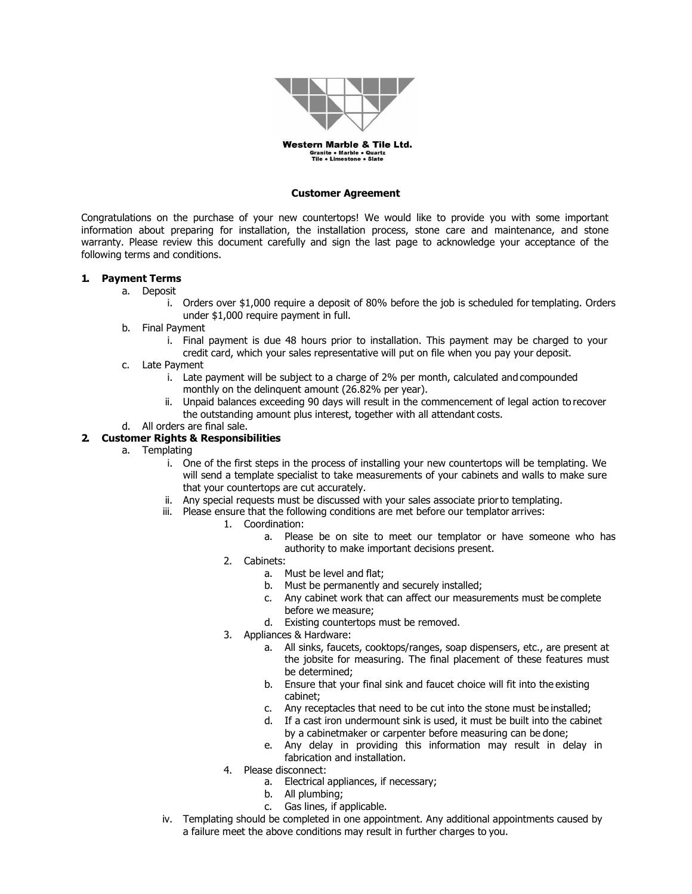

Western Marble & Tile Ltd. **Granite • Marble • Quartz<br>Tile • Limestone • Slate** 

#### **Customer Agreement**

Congratulations on the purchase of your new countertops! We would like to provide you with some important information about preparing for installation, the installation process, stone care and maintenance, and stone warranty. Please review this document carefully and sign the last page to acknowledge your acceptance of the following terms and conditions.

#### **1. Payment Terms**

- a. Deposit
	- i. Orders over \$1,000 require a deposit of 80% before the job is scheduled for templating. Orders under \$1,000 require payment in full.
	- b. Final Payment
		- i. Final payment is due 48 hours prior to installation. This payment may be charged to your credit card, which your sales representative will put on file when you pay your deposit.
	- c. Late Payment
		- i. Late payment will be subject to a charge of 2% per month, calculated and compounded monthly on the delinquent amount (26.82% per year).
		- ii. Unpaid balances exceeding 90 days will result in the commencement of legal action to recover the outstanding amount plus interest, together with all attendant costs.
	- d. All orders are final sale.

### **2. Customer Rights & Responsibilities**

- a. Templating
	- i. One of the first steps in the process of installing your new countertops will be templating. We will send a template specialist to take measurements of your cabinets and walls to make sure that your countertops are cut accurately.
	- ii. Any special requests must be discussed with your sales associate priorto templating.
	- iii. Please ensure that the following conditions are met before our templator arrives:
		- 1. Coordination:
			- a. Please be on site to meet our templator or have someone who has authority to make important decisions present.
			- 2. Cabinets:
				- a. Must be level and flat;
				- b. Must be permanently and securely installed;
				- c. Any cabinet work that can affect our measurements must be complete before we measure;
				- d. Existing countertops must be removed.
			- 3. Appliances & Hardware:
				- a. All sinks, faucets, cooktops/ranges, soap dispensers, etc., are present at the jobsite for measuring. The final placement of these features must be determined;
				- b. Ensure that your final sink and faucet choice will fit into the existing cabinet;
				- c. Any receptacles that need to be cut into the stone must be installed;
				- d. If a cast iron undermount sink is used, it must be built into the cabinet by a cabinetmaker or carpenter before measuring can be done;
				- e. Any delay in providing this information may result in delay in fabrication and installation.
			- 4. Please disconnect:
				- a. Electrical appliances, if necessary;
				- b. All plumbing;
				- c. Gas lines, if applicable.
	- iv. Templating should be completed in one appointment. Any additional appointments caused by a failure meet the above conditions may result in further charges to you.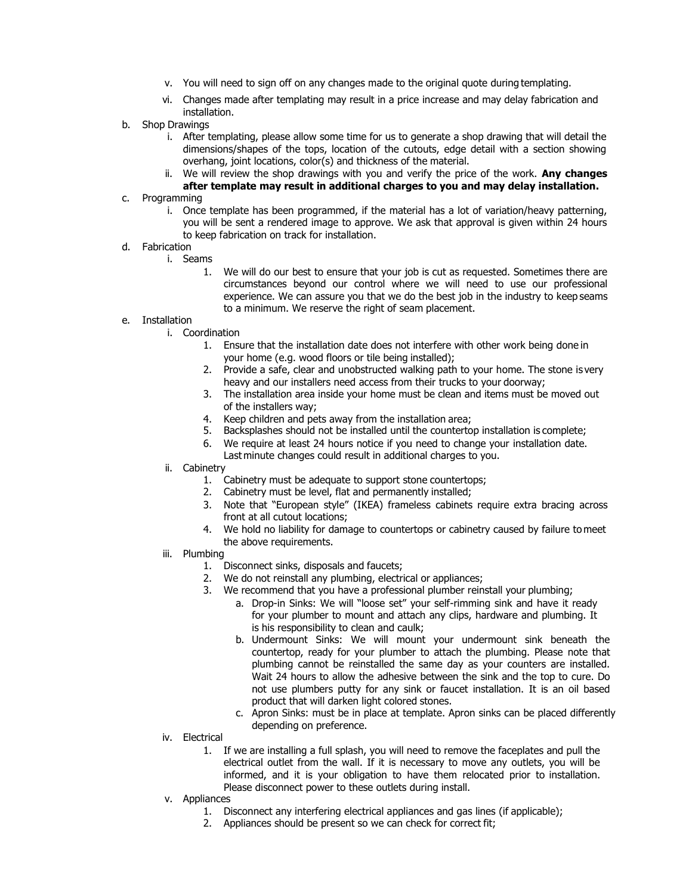- v. You will need to sign off on any changes made to the original quote during templating.
- vi. Changes made after templating may result in a price increase and may delay fabrication and installation.
- b. Shop Drawings
	- i. After templating, please allow some time for us to generate a shop drawing that will detail the dimensions/shapes of the tops, location of the cutouts, edge detail with a section showing overhang, joint locations, color(s) and thickness of the material.
	- ii. We will review the shop drawings with you and verify the price of the work. **Any changes after template may result in additional charges to you and may delay installation.**
- c. Programming
	- i. Once template has been programmed, if the material has a lot of variation/heavy patterning, you will be sent a rendered image to approve. We ask that approval is given within 24 hours to keep fabrication on track for installation.

## d. Fabrication

- i. Seams
	- 1. We will do our best to ensure that your job is cut as requested. Sometimes there are circumstances beyond our control where we will need to use our professional experience. We can assure you that we do the best job in the industry to keep seams to a minimum. We reserve the right of seam placement.
- e. Installation
	- i. Coordination
		- 1. Ensure that the installation date does not interfere with other work being done in your home (e.g. wood floors or tile being installed);
		- 2. Provide a safe, clear and unobstructed walking path to your home. The stone is very heavy and our installers need access from their trucks to your doorway;
		- 3. The installation area inside your home must be clean and items must be moved out of the installers way;
		- 4. Keep children and pets away from the installation area;
		- 5. Backsplashes should not be installed until the countertop installation is complete;
		- 6. We require at least 24 hours notice if you need to change your installation date.
			- Last minute changes could result in additional charges to you.
	- ii. Cabinetry
		- 1. Cabinetry must be adequate to support stone countertops;
		- 2. Cabinetry must be level, flat and permanently installed;
		- 3. Note that "European style" (IKEA) frameless cabinets require extra bracing across front at all cutout locations;
		- 4. We hold no liability for damage to countertops or cabinetry caused by failure to meet the above requirements.
	- iii. Plumbing
		- 1. Disconnect sinks, disposals and faucets;
		- 2. We do not reinstall any plumbing, electrical or appliances;
		- 3. We recommend that you have a professional plumber reinstall your plumbing;
			- a. Drop-in Sinks: We will "loose set" your self-rimming sink and have it ready for your plumber to mount and attach any clips, hardware and plumbing. It is his responsibility to clean and caulk;
			- b. Undermount Sinks: We will mount your undermount sink beneath the countertop, ready for your plumber to attach the plumbing. Please note that plumbing cannot be reinstalled the same day as your counters are installed. Wait 24 hours to allow the adhesive between the sink and the top to cure. Do not use plumbers putty for any sink or faucet installation. It is an oil based product that will darken light colored stones.
			- c. Apron Sinks: must be in place at template. Apron sinks can be placed differently depending on preference.
	- iv. Electrical
		- 1. If we are installing a full splash, you will need to remove the faceplates and pull the electrical outlet from the wall. If it is necessary to move any outlets, you will be informed, and it is your obligation to have them relocated prior to installation. Please disconnect power to these outlets during install.
	- v. Appliances
		- 1. Disconnect any interfering electrical appliances and gas lines (if applicable);
		- 2. Appliances should be present so we can check for correct fit;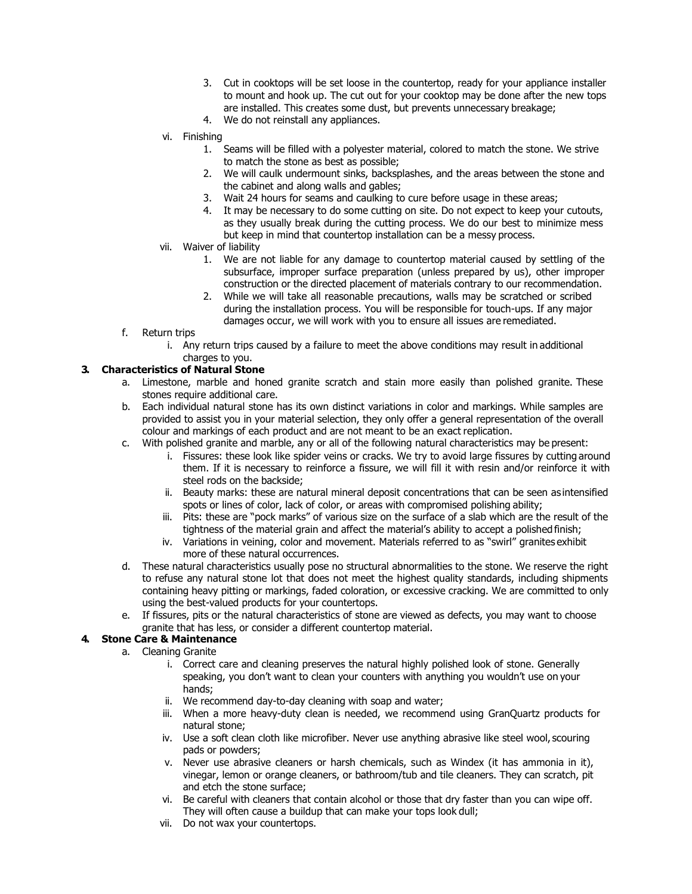- 3. Cut in cooktops will be set loose in the countertop, ready for your appliance installer to mount and hook up. The cut out for your cooktop may be done after the new tops are installed. This creates some dust, but prevents unnecessary breakage;
- 4. We do not reinstall any appliances.
- vi. Finishing
	- 1. Seams will be filled with a polyester material, colored to match the stone. We strive to match the stone as best as possible;
	- 2. We will caulk undermount sinks, backsplashes, and the areas between the stone and the cabinet and along walls and gables;
	- 3. Wait 24 hours for seams and caulking to cure before usage in these areas;
	- 4. It may be necessary to do some cutting on site. Do not expect to keep your cutouts, as they usually break during the cutting process. We do our best to minimize mess but keep in mind that countertop installation can be a messy process.
- vii. Waiver of liability
	- 1. We are not liable for any damage to countertop material caused by settling of the subsurface, improper surface preparation (unless prepared by us), other improper construction or the directed placement of materials contrary to our recommendation.
	- 2. While we will take all reasonable precautions, walls may be scratched or scribed during the installation process. You will be responsible for touch-ups. If any major damages occur, we will work with you to ensure all issues are remediated.
- f. Return trips
	- i. Any return trips caused by a failure to meet the above conditions may result in additional charges to you.

#### **3. Characteristics of Natural Stone**

- a. Limestone, marble and honed granite scratch and stain more easily than polished granite. These stones require additional care.
- b. Each individual natural stone has its own distinct variations in color and markings. While samples are provided to assist you in your material selection, they only offer a general representation of the overall colour and markings of each product and are not meant to be an exact replication.
- c. With polished granite and marble, any or all of the following natural characteristics may be present:
	- i. Fissures: these look like spider veins or cracks. We try to avoid large fissures by cutting around them. If it is necessary to reinforce a fissure, we will fill it with resin and/or reinforce it with steel rods on the backside;
	- ii. Beauty marks: these are natural mineral deposit concentrations that can be seen as intensified spots or lines of color, lack of color, or areas with compromised polishing ability;
	- iii. Pits: these are "pock marks" of various size on the surface of a slab which are the result of the tightness of the material grain and affect the material's ability to accept a polished finish;
	- iv. Variations in veining, color and movement. Materials referred to as "swirl" granites exhibit more of these natural occurrences.
- d. These natural characteristics usually pose no structural abnormalities to the stone. We reserve the right to refuse any natural stone lot that does not meet the highest quality standards, including shipments containing heavy pitting or markings, faded coloration, or excessive cracking. We are committed to only using the best-valued products for your countertops.
- e. If fissures, pits or the natural characteristics of stone are viewed as defects, you may want to choose granite that has less, or consider a different countertop material.

# **4. Stone Care & Maintenance**

- a. Cleaning Granite
	- i. Correct care and cleaning preserves the natural highly polished look of stone. Generally speaking, you don't want to clean your counters with anything you wouldn't use on your hands;
	- ii. We recommend day-to-day cleaning with soap and water;
	- iii. When a more heavy-duty clean is needed, we recommend using GranQuartz products for natural stone;
	- iv. Use a soft clean cloth like microfiber. Never use anything abrasive like steel wool, scouring pads or powders;
	- v. Never use abrasive cleaners or harsh chemicals, such as Windex (it has ammonia in it), vinegar, lemon or orange cleaners, or bathroom/tub and tile cleaners. They can scratch, pit and etch the stone surface;
	- vi. Be careful with cleaners that contain alcohol or those that dry faster than you can wipe off. They will often cause a buildup that can make your tops look dull;
	- vii. Do not wax your countertops.